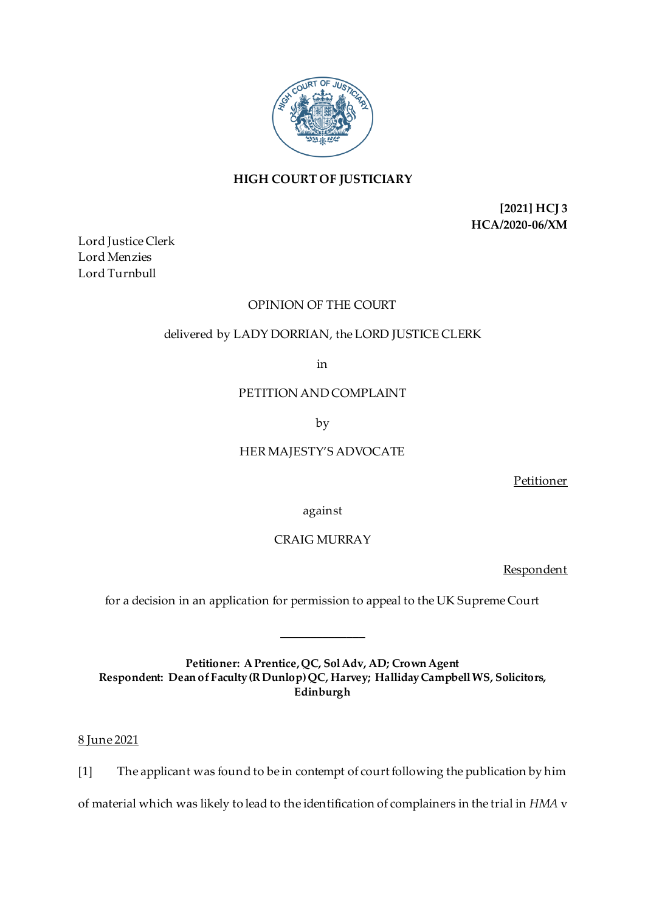

# **HIGH COURT OF JUSTICIARY**

**[2021] HCJ 3 HCA/2020-06/XM**

Lord Justice Clerk Lord Menzies Lord Turnbull

# OPINION OF THE COURT

# delivered by LADY DORRIAN, the LORD JUSTICE CLERK

in

## PETITION AND COMPLAINT

by

# HER MAJESTY'S ADVOCATE

Petitioner

against

## CRAIG MURRAY

Respondent

for a decision in an application for permission to appeal to the UK Supreme Court

\_\_\_\_\_\_\_\_\_\_\_\_\_\_

**Petitioner: A Prentice, QC, Sol Adv, AD; Crown Agent Respondent: Dean of Faculty (R Dunlop) QC, Harvey; Halliday Campbell WS, Solicitors, Edinburgh**

8 June 2021

[1] The applicant was found to be in contempt of court following the publication by him

of material which was likely to lead to the identification of complainers in the trial in *HMA* v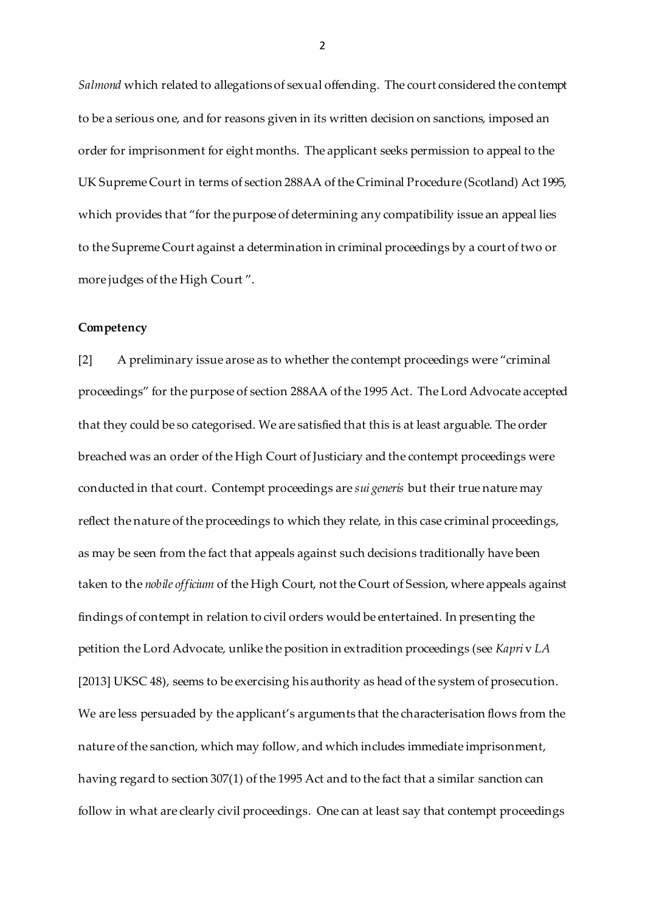*Salmond* which related to allegations of sexual offending. The court considered the contempt to be a serious one, and for reasons given in its written decision on sanctions, imposed an order for imprisonment for eight months. The applicant seeks permission to appeal to the UK Supreme Court in terms of section 288AA of the Criminal Procedure (Scotland) Act 1995, which provides that "for the purpose of determining any compatibility issue an appeal lies to the Supreme Court against a determination in criminal proceedings by a court of two or more judges of the High Court ".

### **Competency**

[2] A preliminary issue arose as to whether the contempt proceedings were "criminal proceedings" for the purpose of section 288AA of the 1995 Act. The Lord Advocate accepted that they could be so categorised. We are satisfied that this is at least arguable. The order breached was an order of the High Court of Justiciary and the contempt proceedings were conducted in that court. Contempt proceedings are *sui generis* but their true nature may reflect the nature of the proceedings to which they relate, in this case criminal proceedings, as may be seen from the fact that appeals against such decisions traditionally have been taken to the *nobile officium* of the High Court, not the Court of Session, where appeals against findings of contempt in relation to civil orders would be entertained. In presenting the petition the Lord Advocate, unlike the position in extradition proceedings (see *Kapri* v *LA*  [2013] UKSC 48), seems to be exercising his authority as head of the system of prosecution. We are less persuaded by the applicant's arguments that the characterisation flows from the nature of the sanction, which may follow, and which includes immediate imprisonment, having regard to section 307(1) of the 1995 Act and to the fact that a similar sanction can follow in what are clearly civil proceedings. One can at least say that contempt proceedings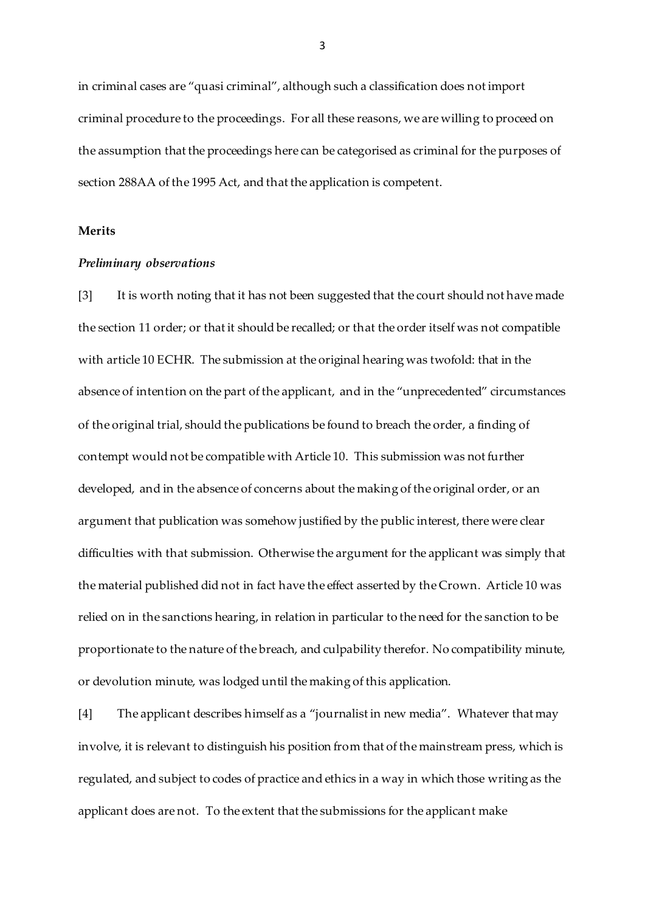in criminal cases are "quasi criminal", although such a classification does not import criminal procedure to the proceedings. For all these reasons, we are willing to proceed on the assumption that the proceedings here can be categorised as criminal for the purposes of section 288AA of the 1995 Act, and that the application is competent.

### **Merits**

#### *Preliminary observations*

[3] It is worth noting that it has not been suggested that the court should not have made the section 11 order; or that it should be recalled; or that the order itself was not compatible with article 10 ECHR. The submission at the original hearing was twofold: that in the absence of intention on the part of the applicant, and in the "unprecedented" circumstances of the original trial, should the publications be found to breach the order, a finding of contempt would not be compatible with Article 10. This submission was not further developed, and in the absence of concerns about the making of the original order, or an argument that publication was somehow justified by the public interest, there were clear difficulties with that submission. Otherwise the argument for the applicant was simply that the material published did not in fact have the effect asserted by the Crown. Article 10 was relied on in the sanctions hearing, in relation in particular to the need for the sanction to be proportionate to the nature of the breach, and culpability therefor. No compatibility minute, or devolution minute, was lodged until the making of this application.

[4] The applicant describes himself as a "journalist in new media". Whatever that may involve, it is relevant to distinguish his position from that of the mainstream press, which is regulated, and subject to codes of practice and ethics in a way in which those writing as the applicant does are not. To the extent that the submissions for the applicant make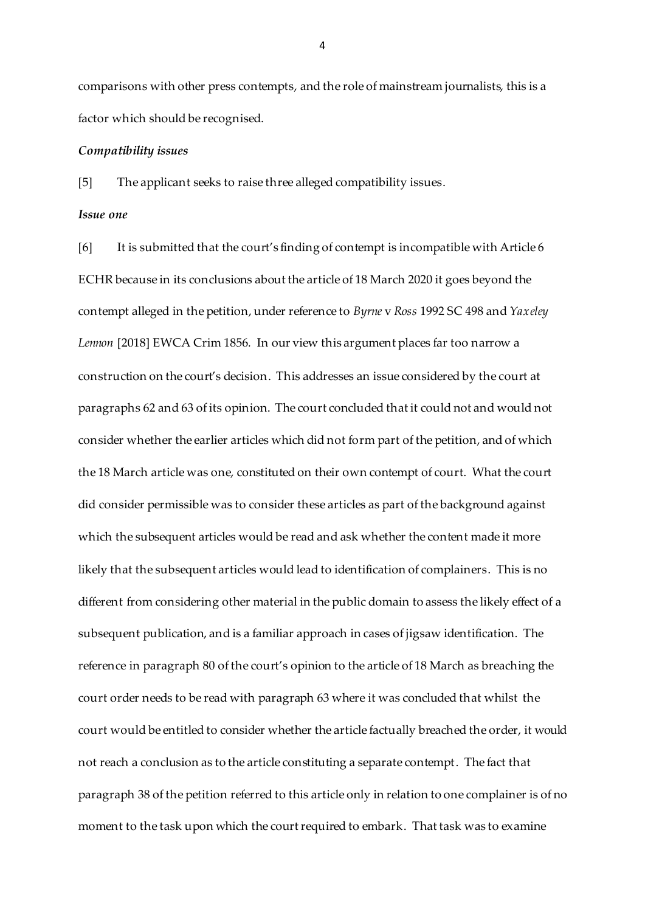comparisons with other press contempts, and the role of mainstream journalists, this is a factor which should be recognised.

#### *Compatibility issues*

[5] The applicant seeks to raise three alleged compatibility issues.

#### *Issue one*

[6] It is submitted that the court's finding of contempt is incompatible with Article 6 ECHR because in its conclusions about the article of 18 March 2020 it goes beyond the contempt alleged in the petition, under reference to *Byrne* v *Ross* 1992 SC 498 and *Yaxeley Lennon* [2018] EWCA Crim 1856*.* In our view this argument places far too narrow a construction on the court's decision. This addresses an issue considered by the court at paragraphs 62 and 63 of its opinion. The court concluded that it could not and would not consider whether the earlier articles which did not form part of the petition, and of which the 18 March article was one, constituted on their own contempt of court. What the court did consider permissible was to consider these articles as part of the background against which the subsequent articles would be read and ask whether the content made it more likely that the subsequent articles would lead to identification of complainers. This is no different from considering other material in the public domain to assess the likely effect of a subsequent publication, and is a familiar approach in cases of jigsaw identification. The reference in paragraph 80 of the court's opinion to the article of 18 March as breaching the court order needs to be read with paragraph 63 where it was concluded that whilst the court would be entitled to consider whether the article factually breached the order, it would not reach a conclusion as to the article constituting a separate contempt. The fact that paragraph 38 of the petition referred to this article only in relation to one complainer is of no moment to the task upon which the court required to embark. That task was to examine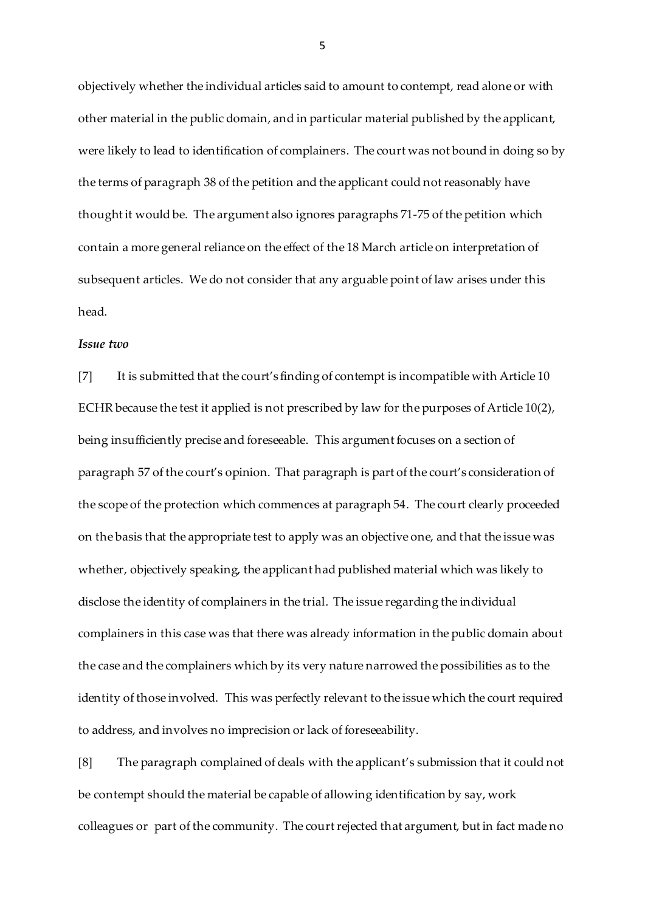objectively whether the individual articles said to amount to contempt, read alone or with other material in the public domain, and in particular material published by the applicant, were likely to lead to identification of complainers. The court was not bound in doing so by the terms of paragraph 38 of the petition and the applicant could not reasonably have thought it would be. The argument also ignores paragraphs 71-75 of the petition which contain a more general reliance on the effect of the 18 March article on interpretation of subsequent articles. We do not consider that any arguable point of law arises under this head.

### *Issue two*

[7] It is submitted that the court's finding of contempt is incompatible with Article 10 ECHR because the test it applied is not prescribed by law for the purposes of Article 10(2), being insufficiently precise and foreseeable. This argument focuses on a section of paragraph 57 of the court's opinion. That paragraph is part of the court's consideration of the scope of the protection which commences at paragraph 54. The court clearly proceeded on the basis that the appropriate test to apply was an objective one, and that the issue was whether, objectively speaking, the applicant had published material which was likely to disclose the identity of complainers in the trial. The issue regarding the individual complainers in this case was that there was already information in the public domain about the case and the complainers which by its very nature narrowed the possibilities as to the identity of those involved. This was perfectly relevant to the issue which the court required to address, and involves no imprecision or lack of foreseeability.

[8] The paragraph complained of deals with the applicant's submission that it could not be contempt should the material be capable of allowing identification by say, work colleagues or part of the community. The court rejected that argument, but in fact made no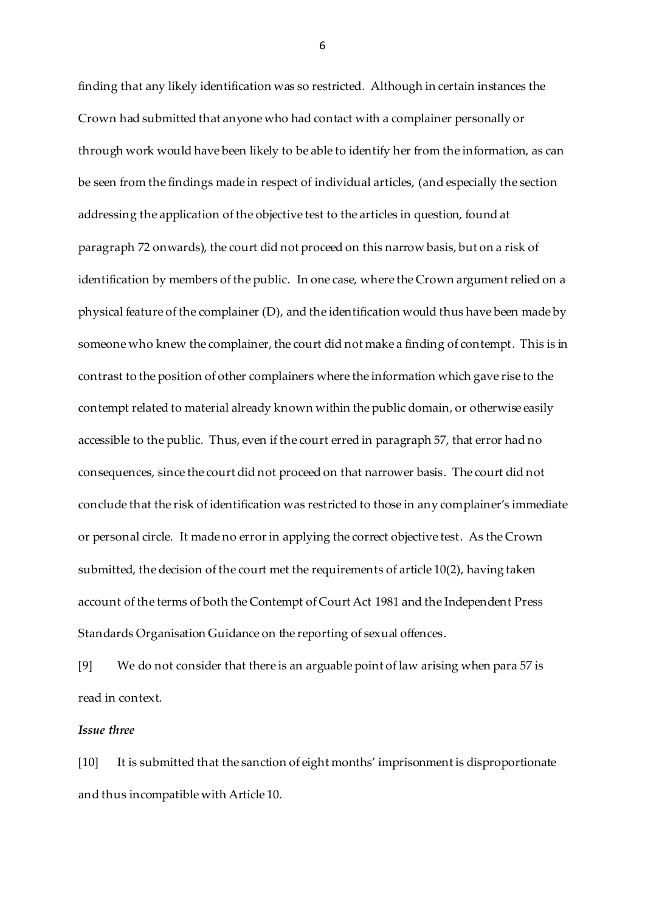finding that any likely identification was so restricted. Although in certain instances the Crown had submitted that anyone who had contact with a complainer personally or through work would have been likely to be able to identify her from the information, as can be seen from the findings made in respect of individual articles, (and especially the section addressing the application of the objective test to the articles in question, found at paragraph 72 onwards), the court did not proceed on this narrow basis, but on a risk of identification by members of the public. In one case, where the Crown argument relied on a physical feature of the complainer (D), and the identification would thus have been made by someone who knew the complainer, the court did not make a finding of contempt. This is in contrast to the position of other complainers where the information which gave rise to the contempt related to material already known within the public domain, or otherwise easily accessible to the public. Thus, even if the court erred in paragraph 57, that error had no consequences, since the court did not proceed on that narrower basis. The court did not conclude that the risk of identification was restricted to those in any complainer's immediate or personal circle. It made no error in applying the correct objective test. As the Crown submitted, the decision of the court met the requirements of article 10(2), having taken account of the terms of both the Contempt of Court Act 1981 and the Independent Press Standards Organisation Guidance on the reporting of sexual offences.

[9] We do not consider that there is an arguable point of law arising when para 57 is read in context.

### *Issue three*

[10] It is submitted that the sanction of eight months' imprisonment is disproportionate and thus incompatible with Article 10.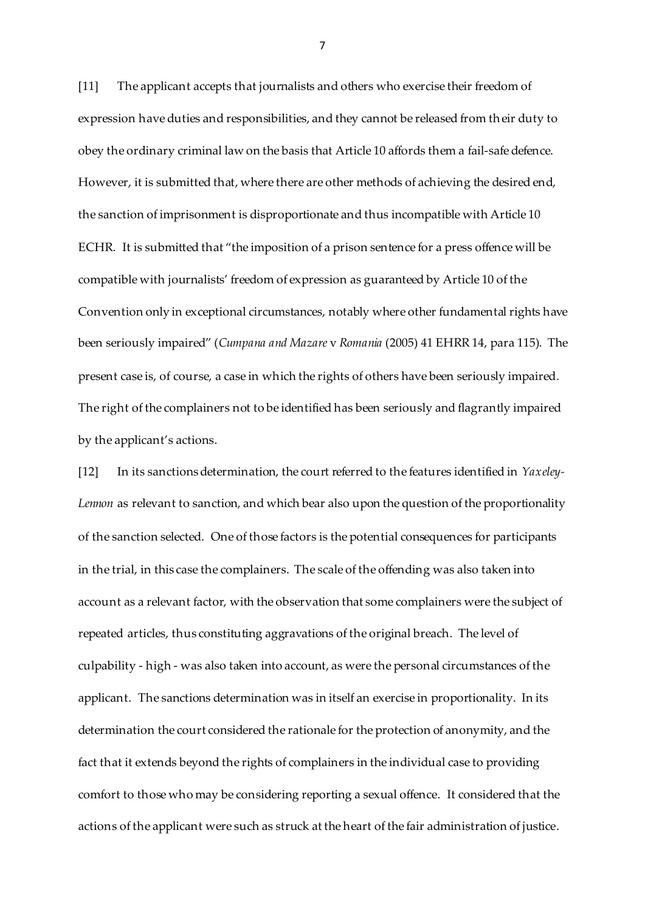[11] The applicant accepts that journalists and others who exercise their freedom of expression have duties and responsibilities, and they cannot be released from their duty to obey the ordinary criminal law on the basis that Article 10 affords them a fail-safe defence. However, it is submitted that, where there are other methods of achieving the desired end, the sanction of imprisonment is disproportionate and thus incompatible with Article 10 ECHR. It is submitted that "the imposition of a prison sentence for a press offence will be compatible with journalists' freedom of expression as guaranteed by Article 10 of the Convention only in exceptional circumstances, notably where other fundamental rights have been seriously impaired" (*Cumpana and Mazare* v *Romania* (2005) 41 EHRR 14, para 115). The present case is, of course, a case in which the rights of others have been seriously impaired. The right of the complainers not to be identified has been seriously and flagrantly impaired by the applicant's actions.

[12] In its sanctions determination, the court referred to the features identified in *Yaxeley-Lennon* as relevant to sanction, and which bear also upon the question of the proportionality of the sanction selected. One of those factors is the potential consequences for participants in the trial, in this case the complainers. The scale of the offending was also taken into account as a relevant factor, with the observation that some complainers were the subject of repeated articles, thus constituting aggravations of the original breach. The level of culpability - high - was also taken into account, as were the personal circumstances of the applicant. The sanctions determination was in itself an exercise in proportionality. In its determination the court considered the rationale for the protection of anonymity, and the fact that it extends beyond the rights of complainers in the individual case to providing comfort to those who may be considering reporting a sexual offence. It considered that the actions of the applicant were such as struck at the heart of the fair administration of justice.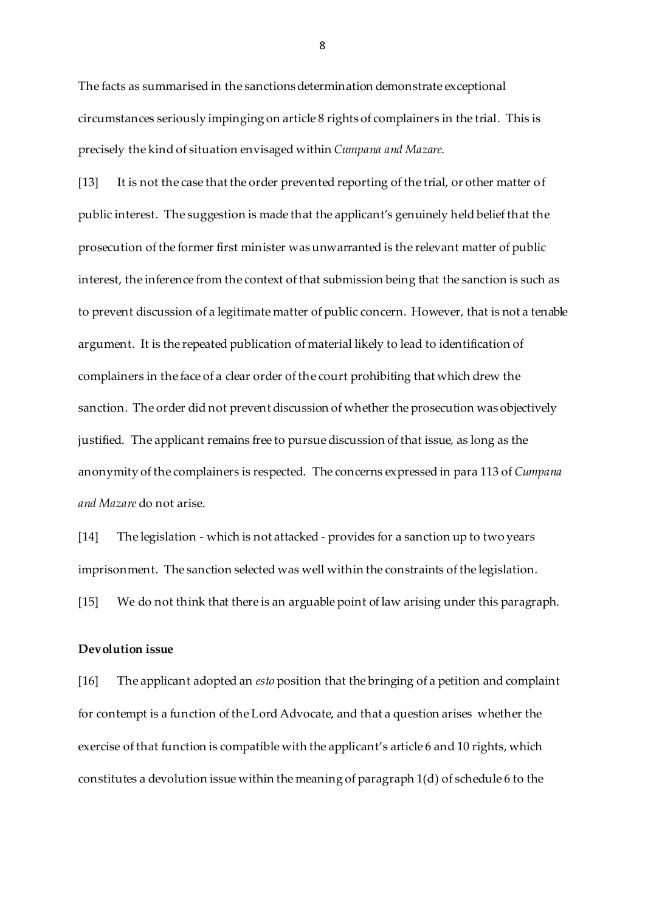The facts as summarised in the sanctions determination demonstrate exceptional circumstances seriously impinging on article 8 rights of complainers in the trial. This is precisely the kind of situation envisaged within *Cumpana and Mazare.* 

[13] It is not the case that the order prevented reporting of the trial, or other matter of public interest. The suggestion is made that the applicant's genuinely held belief that the prosecution of the former first minister was unwarranted is the relevant matter of public interest, the inference from the context of that submission being that the sanction is such as to prevent discussion of a legitimate matter of public concern. However, that is not a tenable argument. It is the repeated publication of material likely to lead to identification of complainers in the face of a clear order of the court prohibiting that which drew the sanction. The order did not prevent discussion of whether the prosecution was objectively justified. The applicant remains free to pursue discussion of that issue, as long as the anonymity of the complainers is respected. The concerns expressed in para 113 of *Cumpana and Mazare* do not arise.

[14] The legislation - which is not attacked - provides for a sanction up to two years imprisonment. The sanction selected was well within the constraints of the legislation.

[15] We do not think that there is an arguable point of law arising under this paragraph.

## **Devolution issue**

[16] The applicant adopted an *esto* position that the bringing of a petition and complaint for contempt is a function of the Lord Advocate, and that a question arises whether the exercise of that function is compatible with the applicant's article 6 and 10 rights, which constitutes a devolution issue within the meaning of paragraph 1(d) of schedule 6 to the